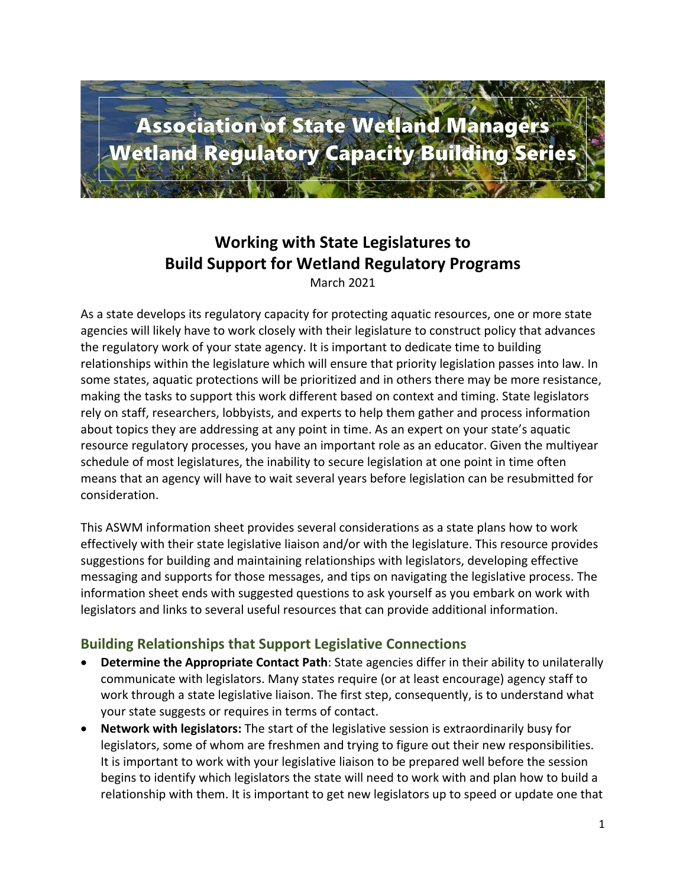

# **Working with State Legislatures to Build Support for Wetland Regulatory Programs**

March 2021

As a state develops its regulatory capacity for protecting aquatic resources, one or more state agencies will likely have to work closely with their legislature to construct policy that advances the regulatory work of your state agency. It is important to dedicate time to building relationships within the legislature which will ensure that priority legislation passes into law. In some states, aquatic protections will be prioritized and in others there may be more resistance, making the tasks to support this work different based on context and timing. State legislators rely on staff, researchers, lobbyists, and experts to help them gather and process information about topics they are addressing at any point in time. As an expert on your state's aquatic resource regulatory processes, you have an important role as an educator. Given the multiyear schedule of most legislatures, the inability to secure legislation at one point in time often means that an agency will have to wait several years before legislation can be resubmitted for consideration.

This ASWM information sheet provides several considerations as a state plans how to work effectively with their state legislative liaison and/or with the legislature. This resource provides suggestions for building and maintaining relationships with legislators, developing effective messaging and supports for those messages, and tips on navigating the legislative process. The information sheet ends with suggested questions to ask yourself as you embark on work with legislators and links to several useful resources that can provide additional information.

#### **Building Relationships that Support Legislative Connections**

- **Determine the Appropriate Contact Path**: State agencies differ in their ability to unilaterally communicate with legislators. Many states require (or at least encourage) agency staff to work through a state legislative liaison. The first step, consequently, is to understand what your state suggests or requires in terms of contact.
- **Network with legislators:** The start of the legislative session is extraordinarily busy for legislators, some of whom are freshmen and trying to figure out their new responsibilities. It is important to work with your legislative liaison to be prepared well before the session begins to identify which legislators the state will need to work with and plan how to build a relationship with them. It is important to get new legislators up to speed or update one that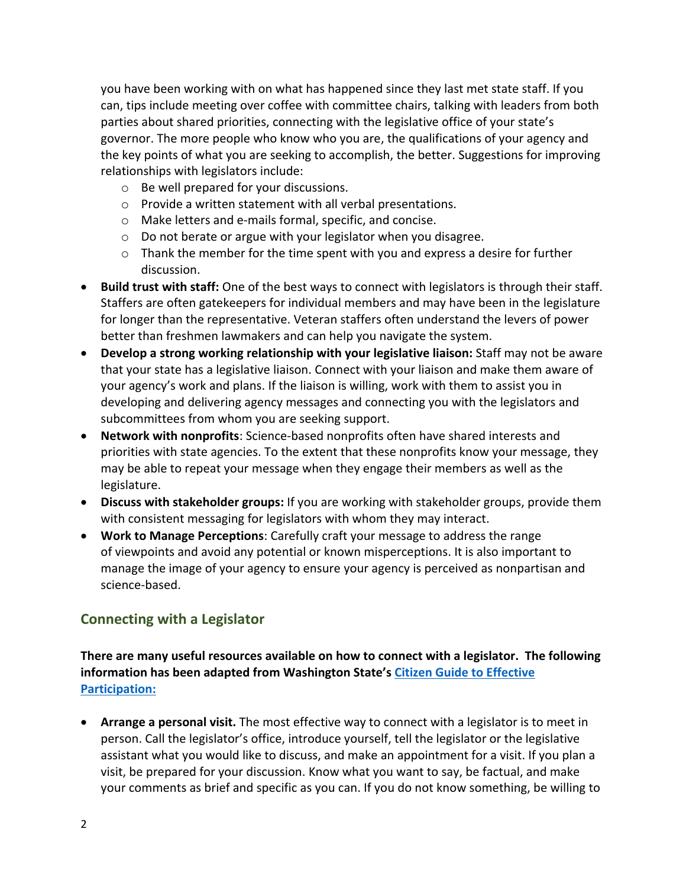you have been working with on what has happened since they last met state staff. If you can, tips include meeting over coffee with committee chairs, talking with leaders from both parties about shared priorities, connecting with the legislative office of your state's governor. The more people who know who you are, the qualifications of your agency and the key points of what you are seeking to accomplish, the better. Suggestions for improving relationships with legislators include:

- o Be well prepared for your discussions.
- o Provide a written statement with all verbal presentations.
- o Make letters and e-mails formal, specific, and concise.
- o Do not berate or argue with your legislator when you disagree.
- $\circ$  Thank the member for the time spent with you and express a desire for further discussion.
- **Build trust with staff:** One of the best ways to connect with legislators is through their staff. Staffers are often gatekeepers for individual members and may have been in the legislature for longer than the representative. Veteran staffers often understand the levers of power better than freshmen lawmakers and can help you navigate the system.
- **Develop a strong working relationship with your legislative liaison:** Staff may not be aware that your state has a legislative liaison. Connect with your liaison and make them aware of your agency's work and plans. If the liaison is willing, work with them to assist you in developing and delivering agency messages and connecting you with the legislators and subcommittees from whom you are seeking support.
- **Network with nonprofits**: Science-based nonprofits often have shared interests and priorities with state agencies. To the extent that these nonprofits know your message, they may be able to repeat your message when they engage their members as well as the legislature.
- **Discuss with stakeholder groups:** If you are working with stakeholder groups, provide them with consistent messaging for legislators with whom they may interact.
- **Work to Manage Perceptions**: Carefully craft your message to address the range of viewpoints and avoid any potential or known misperceptions. It is also important to manage the image of your agency to ensure your agency is perceived as nonpartisan and science-based.

#### **Connecting with a Legislator**

**There are many useful resources available on how to connect with a legislator. The following information has been adapted from Washington State's [Citizen Guide to Effective](https://leg.wa.gov/LIC/Documents/EducationAndInformation/Citizen%20Guide%20to%20Effective%20Participation.pdf)  [Participation:](https://leg.wa.gov/LIC/Documents/EducationAndInformation/Citizen%20Guide%20to%20Effective%20Participation.pdf)**

• **Arrange a personal visit.** The most effective way to connect with a legislator is to meet in person. Call the legislator's office, introduce yourself, tell the legislator or the legislative assistant what you would like to discuss, and make an appointment for a visit. If you plan a visit, be prepared for your discussion. Know what you want to say, be factual, and make your comments as brief and specific as you can. If you do not know something, be willing to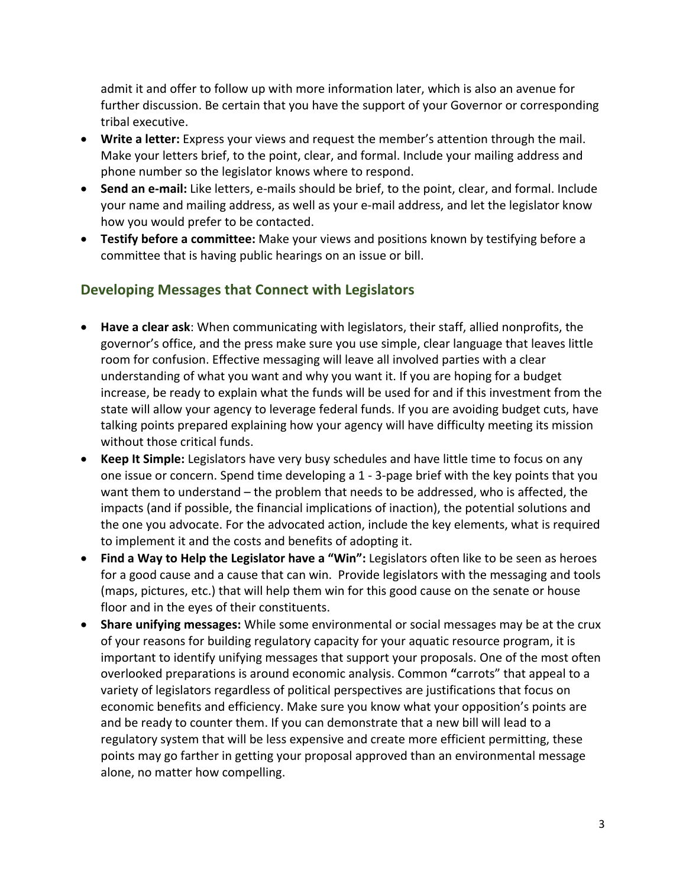admit it and offer to follow up with more information later, which is also an avenue for further discussion. Be certain that you have the support of your Governor or corresponding tribal executive.

- **Write a letter:** Express your views and request the member's attention through the mail. Make your letters brief, to the point, clear, and formal. Include your mailing address and phone number so the legislator knows where to respond.
- **Send an e-mail:** Like letters, e-mails should be brief, to the point, clear, and formal. Include your name and mailing address, as well as your e-mail address, and let the legislator know how you would prefer to be contacted.
- **Testify before a committee:** Make your views and positions known by testifying before a committee that is having public hearings on an issue or bill.

## **Developing Messages that Connect with Legislators**

- **Have a clear ask**: When communicating with legislators, their staff, allied nonprofits, the governor's office, and the press make sure you use simple, clear language that leaves little room for confusion. Effective messaging will leave all involved parties with a clear understanding of what you want and why you want it. If you are hoping for a budget increase, be ready to explain what the funds will be used for and if this investment from the state will allow your agency to leverage federal funds. If you are avoiding budget cuts, have talking points prepared explaining how your agency will have difficulty meeting its mission without those critical funds.
- **Keep It Simple:** Legislators have very busy schedules and have little time to focus on any one issue or concern. Spend time developing a 1 - 3-page brief with the key points that you want them to understand – the problem that needs to be addressed, who is affected, the impacts (and if possible, the financial implications of inaction), the potential solutions and the one you advocate. For the advocated action, include the key elements, what is required to implement it and the costs and benefits of adopting it.
- **Find a Way to Help the Legislator have a "Win":** Legislators often like to be seen as heroes for a good cause and a cause that can win. Provide legislators with the messaging and tools (maps, pictures, etc.) that will help them win for this good cause on the senate or house floor and in the eyes of their constituents.
- **Share unifying messages:** While some environmental or social messages may be at the crux of your reasons for building regulatory capacity for your aquatic resource program, it is important to identify unifying messages that support your proposals. One of the most often overlooked preparations is around economic analysis. Common **"**carrots" that appeal to a variety of legislators regardless of political perspectives are justifications that focus on economic benefits and efficiency. Make sure you know what your opposition's points are and be ready to counter them. If you can demonstrate that a new bill will lead to a regulatory system that will be less expensive and create more efficient permitting, these points may go farther in getting your proposal approved than an environmental message alone, no matter how compelling.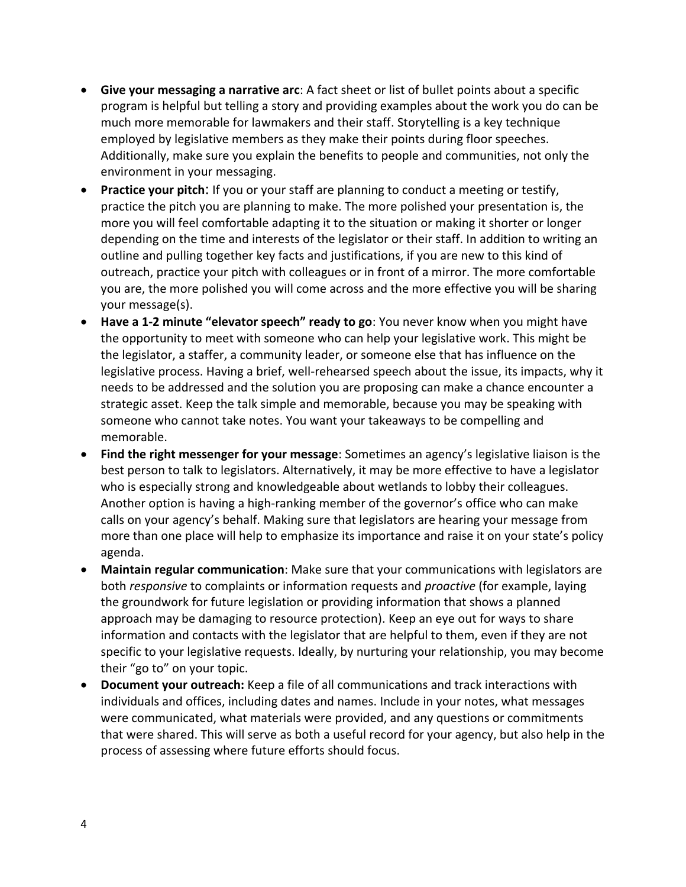- **Give your messaging a narrative arc**: A fact sheet or list of bullet points about a specific program is helpful but telling a story and providing examples about the work you do can be much more memorable for lawmakers and their staff. Storytelling is a key technique employed by legislative members as they make their points during floor speeches. Additionally, make sure you explain the benefits to people and communities, not only the environment in your messaging.
- **Practice your pitch**: If you or your staff are planning to conduct a meeting or testify, practice the pitch you are planning to make. The more polished your presentation is, the more you will feel comfortable adapting it to the situation or making it shorter or longer depending on the time and interests of the legislator or their staff. In addition to writing an outline and pulling together key facts and justifications, if you are new to this kind of outreach, practice your pitch with colleagues or in front of a mirror. The more comfortable you are, the more polished you will come across and the more effective you will be sharing your message(s).
- **Have a 1-2 minute "elevator speech" ready to go**: You never know when you might have the opportunity to meet with someone who can help your legislative work. This might be the legislator, a staffer, a community leader, or someone else that has influence on the legislative process. Having a brief, well-rehearsed speech about the issue, its impacts, why it needs to be addressed and the solution you are proposing can make a chance encounter a strategic asset. Keep the talk simple and memorable, because you may be speaking with someone who cannot take notes. You want your takeaways to be compelling and memorable.
- **Find the right messenger for your message**: Sometimes an agency's legislative liaison is the best person to talk to legislators. Alternatively, it may be more effective to have a legislator who is especially strong and knowledgeable about wetlands to lobby their colleagues. Another option is having a high-ranking member of the governor's office who can make calls on your agency's behalf. Making sure that legislators are hearing your message from more than one place will help to emphasize its importance and raise it on your state's policy agenda.
- **Maintain regular communication**: Make sure that your communications with legislators are both *responsive* to complaints or information requests and *proactive* (for example, laying the groundwork for future legislation or providing information that shows a planned approach may be damaging to resource protection). Keep an eye out for ways to share information and contacts with the legislator that are helpful to them, even if they are not specific to your legislative requests. Ideally, by nurturing your relationship, you may become their "go to" on your topic.
- **Document your outreach:** Keep a file of all communications and track interactions with individuals and offices, including dates and names. Include in your notes, what messages were communicated, what materials were provided, and any questions or commitments that were shared. This will serve as both a useful record for your agency, but also help in the process of assessing where future efforts should focus.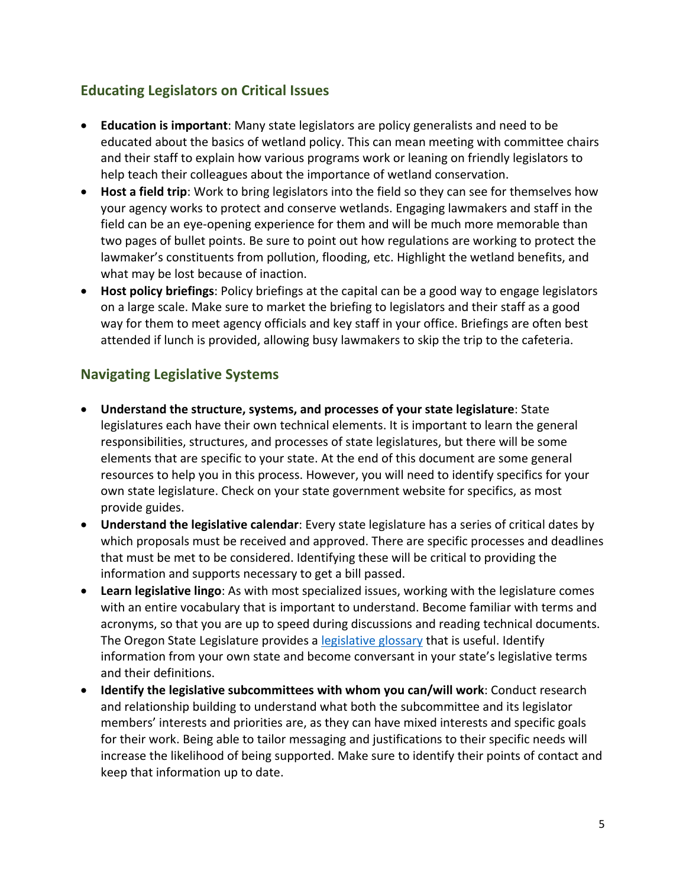### **Educating Legislators on Critical Issues**

- **Education is important**: Many state legislators are policy generalists and need to be educated about the basics of wetland policy. This can mean meeting with committee chairs and their staff to explain how various programs work or leaning on friendly legislators to help teach their colleagues about the importance of wetland conservation.
- **Host a field trip**: Work to bring legislators into the field so they can see for themselves how your agency works to protect and conserve wetlands. Engaging lawmakers and staff in the field can be an eye-opening experience for them and will be much more memorable than two pages of bullet points. Be sure to point out how regulations are working to protect the lawmaker's constituents from pollution, flooding, etc. Highlight the wetland benefits, and what may be lost because of inaction.
- **Host policy briefings**: Policy briefings at the capital can be a good way to engage legislators on a large scale. Make sure to market the briefing to legislators and their staff as a good way for them to meet agency officials and key staff in your office. Briefings are often best attended if lunch is provided, allowing busy lawmakers to skip the trip to the cafeteria.

## **Navigating Legislative Systems**

- **Understand the structure, systems, and processes of your state legislature**: State legislatures each have their own technical elements. It is important to learn the general responsibilities, structures, and processes of state legislatures, but there will be some elements that are specific to your state. At the end of this document are some general resources to help you in this process. However, you will need to identify specifics for your own state legislature. Check on your state government website for specifics, as most provide guides.
- **Understand the legislative calendar**: Every state legislature has a series of critical dates by which proposals must be received and approved. There are specific processes and deadlines that must be met to be considered. Identifying these will be critical to providing the information and supports necessary to get a bill passed.
- **Learn legislative lingo**: As with most specialized issues, working with the legislature comes with an entire vocabulary that is important to understand. Become familiar with terms and acronyms, so that you are up to speed during discussions and reading technical documents. The Oregon State Legislature provides a [legislative glossary](https://www.oregonlegislature.gov/citizen_engagement/Pages/Legislative-Glossary.aspx) that is useful. Identify information from your own state and become conversant in your state's legislative terms and their definitions.
- **Identify the legislative subcommittees with whom you can/will work**: Conduct research and relationship building to understand what both the subcommittee and its legislator members' interests and priorities are, as they can have mixed interests and specific goals for their work. Being able to tailor messaging and justifications to their specific needs will increase the likelihood of being supported. Make sure to identify their points of contact and keep that information up to date.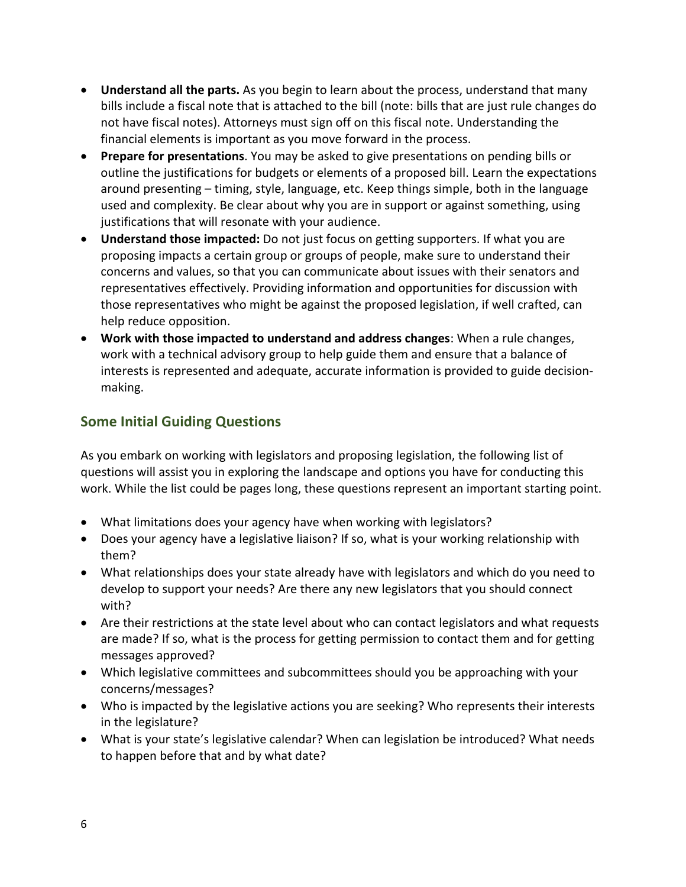- **Understand all the parts.** As you begin to learn about the process, understand that many bills include a fiscal note that is attached to the bill (note: bills that are just rule changes do not have fiscal notes). Attorneys must sign off on this fiscal note. Understanding the financial elements is important as you move forward in the process.
- **Prepare for presentations**. You may be asked to give presentations on pending bills or outline the justifications for budgets or elements of a proposed bill. Learn the expectations around presenting – timing, style, language, etc. Keep things simple, both in the language used and complexity. Be clear about why you are in support or against something, using justifications that will resonate with your audience.
- **Understand those impacted:** Do not just focus on getting supporters. If what you are proposing impacts a certain group or groups of people, make sure to understand their concerns and values, so that you can communicate about issues with their senators and representatives effectively. Providing information and opportunities for discussion with those representatives who might be against the proposed legislation, if well crafted, can help reduce opposition.
- **Work with those impacted to understand and address changes**: When a rule changes, work with a technical advisory group to help guide them and ensure that a balance of interests is represented and adequate, accurate information is provided to guide decisionmaking.

## **Some Initial Guiding Questions**

As you embark on working with legislators and proposing legislation, the following list of questions will assist you in exploring the landscape and options you have for conducting this work. While the list could be pages long, these questions represent an important starting point.

- What limitations does your agency have when working with legislators?
- Does your agency have a legislative liaison? If so, what is your working relationship with them?
- What relationships does your state already have with legislators and which do you need to develop to support your needs? Are there any new legislators that you should connect with?
- Are their restrictions at the state level about who can contact legislators and what requests are made? If so, what is the process for getting permission to contact them and for getting messages approved?
- Which legislative committees and subcommittees should you be approaching with your concerns/messages?
- Who is impacted by the legislative actions you are seeking? Who represents their interests in the legislature?
- What is your state's legislative calendar? When can legislation be introduced? What needs to happen before that and by what date?